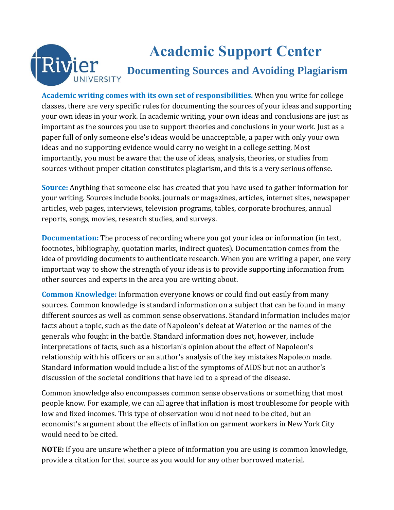# **Academic Support Center** Rivier **Documenting Sources and Avoiding Plagiarism** UNIVERSITY

**Academic writing comes with its own set of responsibilities.** When you write for college classes, there are very specific rules for documenting the sources of your ideas and supporting your own ideas in your work. In academic writing, your own ideas and conclusions are just as important as the sources you use to support theories and conclusions in your work. Just as a paper full of only someone else's ideas would be unacceptable, a paper with only your own ideas and no supporting evidence would carry no weight in a college setting. Most importantly, you must be aware that the use of ideas, analysis, theories, or studies from sources without proper citation constitutes plagiarism, and this is a very serious offense.

**Source:** Anything that someone else has created that you have used to gather information for your writing. Sources include books, journals or magazines, articles, internet sites, newspaper articles, web pages, interviews, television programs, tables, corporate brochures, annual reports, songs, movies, research studies, and surveys.

**Documentation:** The process of recording where you got your idea or information (in text, footnotes, bibliography, quotation marks, indirect quotes). Documentation comes from the idea of providing documents to authenticate research. When you are writing a paper, one very important way to show the strength of your ideas is to provide supporting information from other sources and experts in the area you are writing about.

**Common Knowledge:** Information everyone knows or could find out easily from many sources. Common knowledge is standard information on a subject that can be found in many different sources as well as common sense observations. Standard information includes major facts about a topic, such as the date of Napoleon's defeat at Waterloo or the names of the generals who fought in the battle. Standard information does not, however, include interpretations of facts, such as a historian's opinion about the effect of Napoleon's relationship with his officers or an author's analysis of the key mistakes Napoleon made. Standard information would include a list of the symptoms of AIDS but not an author's discussion of the societal conditions that have led to a spread of the disease.

Common knowledge also encompasses common sense observations or something that most people know. For example, we can all agree that inflation is most troublesome for people with low and fixed incomes. This type of observation would not need to be cited, but an economist's argument about the effects of inflation on garment workers in New York City would need to be cited.

**NOTE:** If you are unsure whether a piece of information you are using is common knowledge, provide a citation for that source as you would for any other borrowed material.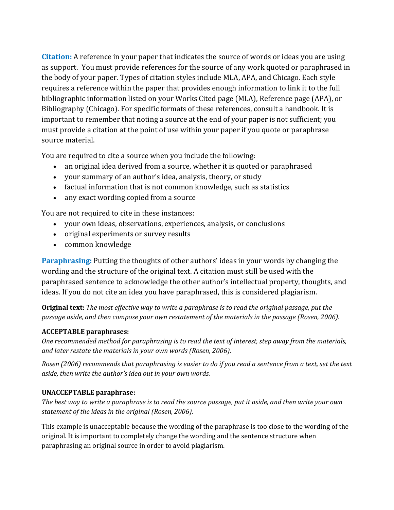**Citation:** A reference in your paper that indicates the source of words or ideas you are using as support. You must provide references for the source of any work quoted or paraphrased in the body of your paper. Types of citation styles include MLA, APA, and Chicago. Each style requires a reference within the paper that provides enough information to link it to the full bibliographic information listed on your Works Cited page (MLA), Reference page (APA), or Bibliography (Chicago). For specific formats of these references, consult a handbook. It is important to remember that noting a source at the end of your paper is not sufficient; you must provide a citation at the point of use within your paper if you quote or paraphrase source material.

You are required to cite a source when you include the following:

- an original idea derived from a source, whether it is quoted or paraphrased
- your summary of an author's idea, analysis, theory, or study
- factual information that is not common knowledge, such as statistics
- any exact wording copied from a source

You are not required to cite in these instances:

- your own ideas, observations, experiences, analysis, or conclusions
- original experiments or survey results
- common knowledge

**Paraphrasing:** Putting the thoughts of other authors' ideas in your words by changing the wording and the structure of the original text. A citation must still be used with the paraphrased sentence to acknowledge the other author's intellectual property, thoughts, and ideas. If you do not cite an idea you have paraphrased, this is considered plagiarism.

**Original text:** *The most effective way to write a paraphrase is to read the original passage, put the passage aside, and then compose your own restatement of the materials in the passage (Rosen, 2006)*.

#### **ACCEPTABLE paraphrases:**

*One recommended method for paraphrasing is to read the text of interest, step away from the materials, and later restate the materials in your own words (Rosen, 2006).*

*Rosen (2006) recommends that paraphrasing is easier to do if you read a sentence from a text, set the text aside, then write the author's idea out in your own words.*

#### **UNACCEPTABLE paraphrase:**

*The best way to write a paraphrase is to read the source passage, put it aside, and then write your own statement of the ideas in the original (Rosen, 2006).*

This example is unacceptable because the wording of the paraphrase is too close to the wording of the original. It is important to completely change the wording and the sentence structure when paraphrasing an original source in order to avoid plagiarism.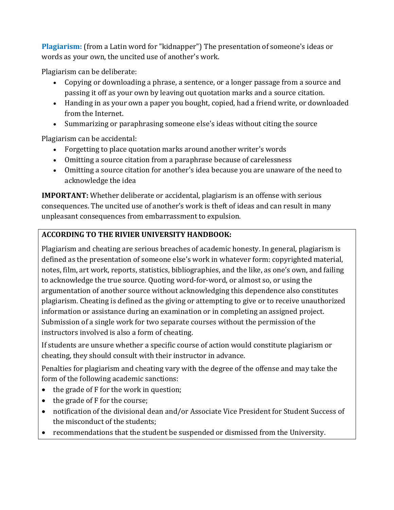**Plagiarism:** (from a Latin word for "kidnapper") The presentation of someone's ideas or words as your own, the uncited use of another's work.

Plagiarism can be deliberate:

- Copying or downloading a phrase, a sentence, or a longer passage from a source and passing it off as your own by leaving out quotation marks and a source citation.
- Handing in as your own a paper you bought, copied, had a friend write, or downloaded from the Internet.
- Summarizing or paraphrasing someone else's ideas without citing the source

Plagiarism can be accidental:

- Forgetting to place quotation marks around another writer's words
- Omitting a source citation from a paraphrase because of carelessness
- Omitting a source citation for another's idea because you are unaware of the need to acknowledge the idea

**IMPORTANT:** Whether deliberate or accidental, plagiarism is an offense with serious consequences. The uncited use of another's work is theft of ideas and can result in many unpleasant consequences from embarrassment to expulsion.

## **ACCORDING TO THE RIVIER UNIVERSITY HANDBOOK:**

Plagiarism and cheating are serious breaches of academic honesty. In general, plagiarism is defined as the presentation of someone else's work in whatever form: copyrighted material, notes, film, art work, reports, statistics, bibliographies, and the like, as one's own, and failing to acknowledge the true source. Quoting word-for-word, or almost so, or using the argumentation of another source without acknowledging this dependence also constitutes plagiarism. Cheating is defined as the giving or attempting to give or to receive unauthorized information or assistance during an examination or in completing an assigned project. Submission of a single work for two separate courses without the permission of the instructors involved is also a form of cheating.

If students are unsure whether a specific course of action would constitute plagiarism or cheating, they should consult with their instructor in advance.

Penalties for plagiarism and cheating vary with the degree of the offense and may take the form of the following academic sanctions:

- $\bullet$  the grade of F for the work in question;
- the grade of F for the course;
- notification of the divisional dean and/or Associate Vice President for Student Success of the misconduct of the students;
- recommendations that the student be suspended or dismissed from the University.